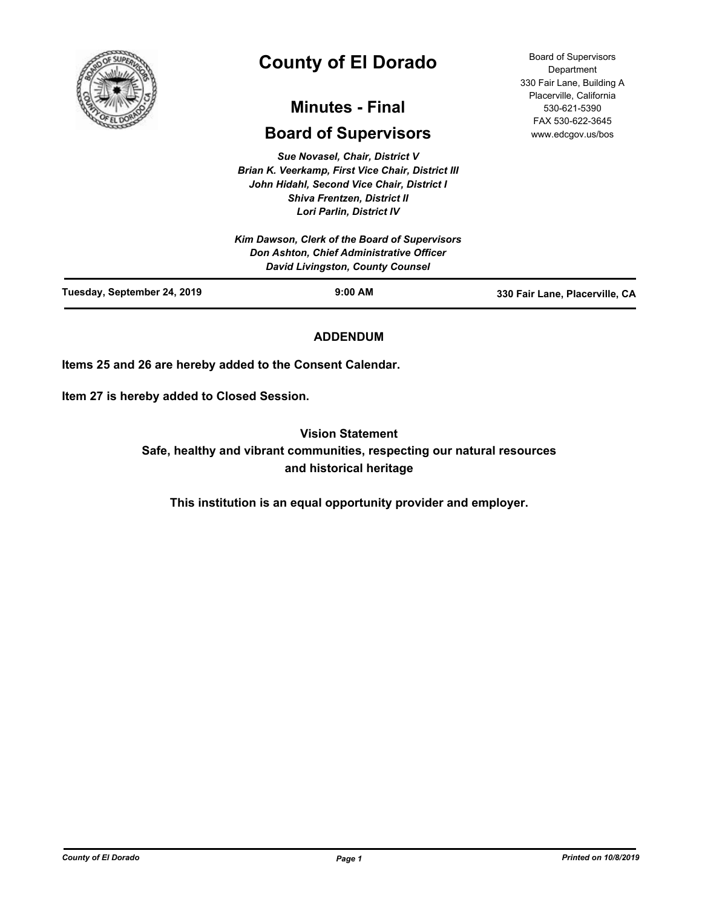

# **County of El Dorado**

# **Minutes - Final**

# **Board of Supervisors**

*Sue Novasel, Chair, District V Brian K. Veerkamp, First Vice Chair, District III John Hidahl, Second Vice Chair, District I Shiva Frentzen, District II Lori Parlin, District IV*

Board of Supervisors **Department** 330 Fair Lane, Building A Placerville, California 530-621-5390 FAX 530-622-3645 www.edcgov.us/bos

| Kim Dawson, Clerk of the Board of Supervisors<br><b>Don Ashton, Chief Administrative Officer</b><br>David Livingston, County Counsel |           |                                |
|--------------------------------------------------------------------------------------------------------------------------------------|-----------|--------------------------------|
| Tuesday, September 24, 2019                                                                                                          | $9:00$ AM | 330 Fair Lane, Placerville, CA |

# **ADDENDUM**

**Items 25 and 26 are hereby added to the Consent Calendar.**

**Item 27 is hereby added to Closed Session.**

**Vision Statement** 

**Safe, healthy and vibrant communities, respecting our natural resources and historical heritage**

**This institution is an equal opportunity provider and employer.**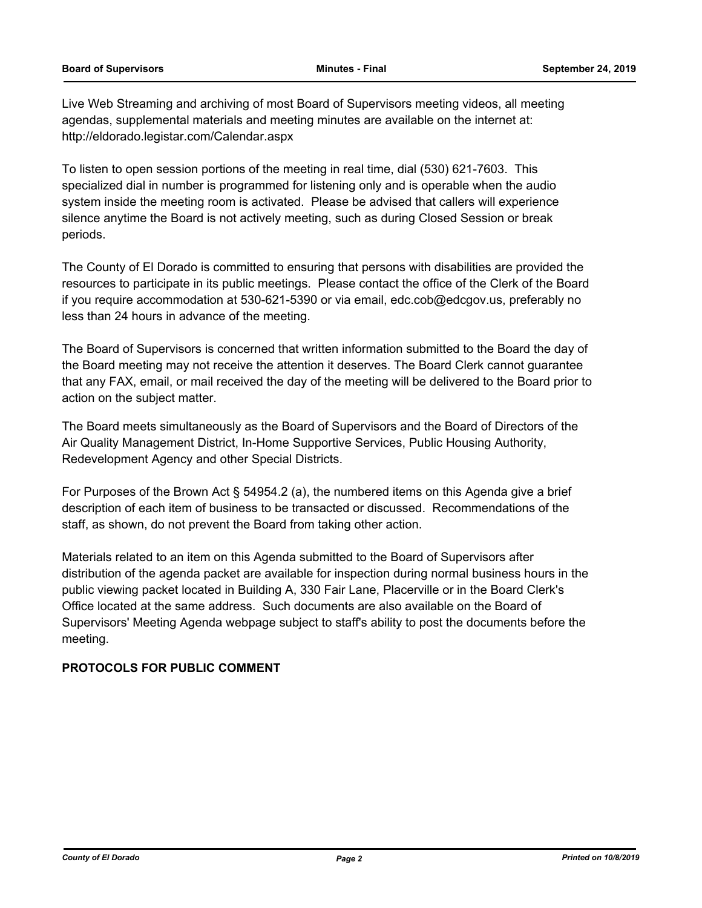Live Web Streaming and archiving of most Board of Supervisors meeting videos, all meeting agendas, supplemental materials and meeting minutes are available on the internet at: http://eldorado.legistar.com/Calendar.aspx

To listen to open session portions of the meeting in real time, dial (530) 621-7603. This specialized dial in number is programmed for listening only and is operable when the audio system inside the meeting room is activated. Please be advised that callers will experience silence anytime the Board is not actively meeting, such as during Closed Session or break periods.

The County of El Dorado is committed to ensuring that persons with disabilities are provided the resources to participate in its public meetings. Please contact the office of the Clerk of the Board if you require accommodation at 530-621-5390 or via email, edc.cob@edcgov.us, preferably no less than 24 hours in advance of the meeting.

The Board of Supervisors is concerned that written information submitted to the Board the day of the Board meeting may not receive the attention it deserves. The Board Clerk cannot guarantee that any FAX, email, or mail received the day of the meeting will be delivered to the Board prior to action on the subject matter.

The Board meets simultaneously as the Board of Supervisors and the Board of Directors of the Air Quality Management District, In-Home Supportive Services, Public Housing Authority, Redevelopment Agency and other Special Districts.

For Purposes of the Brown Act § 54954.2 (a), the numbered items on this Agenda give a brief description of each item of business to be transacted or discussed. Recommendations of the staff, as shown, do not prevent the Board from taking other action.

Materials related to an item on this Agenda submitted to the Board of Supervisors after distribution of the agenda packet are available for inspection during normal business hours in the public viewing packet located in Building A, 330 Fair Lane, Placerville or in the Board Clerk's Office located at the same address. Such documents are also available on the Board of Supervisors' Meeting Agenda webpage subject to staff's ability to post the documents before the meeting.

# **PROTOCOLS FOR PUBLIC COMMENT**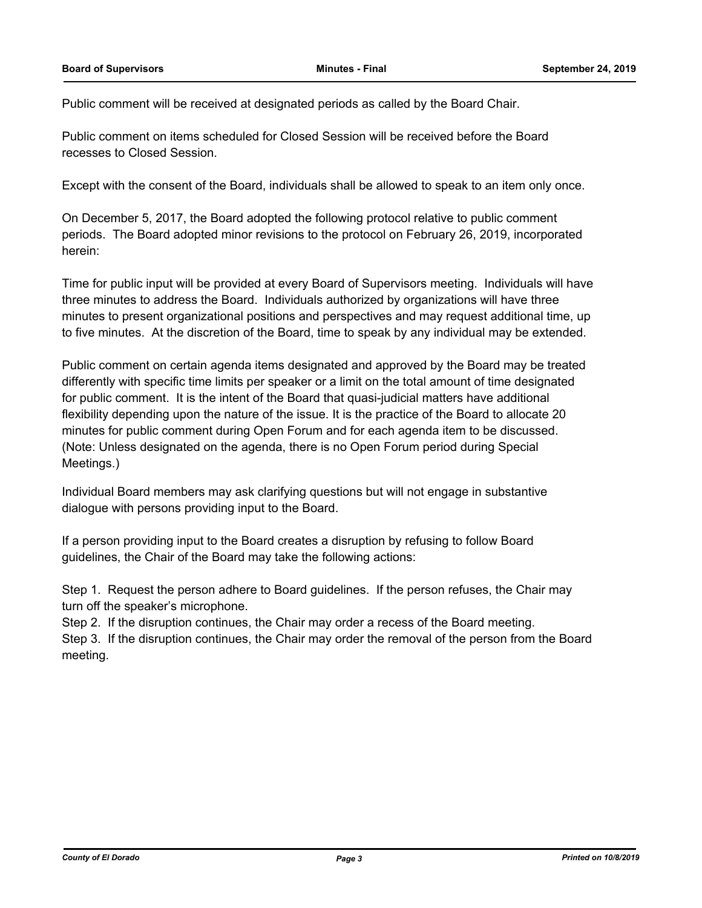Public comment will be received at designated periods as called by the Board Chair.

Public comment on items scheduled for Closed Session will be received before the Board recesses to Closed Session.

Except with the consent of the Board, individuals shall be allowed to speak to an item only once.

On December 5, 2017, the Board adopted the following protocol relative to public comment periods. The Board adopted minor revisions to the protocol on February 26, 2019, incorporated herein:

Time for public input will be provided at every Board of Supervisors meeting. Individuals will have three minutes to address the Board. Individuals authorized by organizations will have three minutes to present organizational positions and perspectives and may request additional time, up to five minutes. At the discretion of the Board, time to speak by any individual may be extended.

Public comment on certain agenda items designated and approved by the Board may be treated differently with specific time limits per speaker or a limit on the total amount of time designated for public comment. It is the intent of the Board that quasi-judicial matters have additional flexibility depending upon the nature of the issue. It is the practice of the Board to allocate 20 minutes for public comment during Open Forum and for each agenda item to be discussed. (Note: Unless designated on the agenda, there is no Open Forum period during Special Meetings.)

Individual Board members may ask clarifying questions but will not engage in substantive dialogue with persons providing input to the Board.

If a person providing input to the Board creates a disruption by refusing to follow Board guidelines, the Chair of the Board may take the following actions:

Step 1. Request the person adhere to Board guidelines. If the person refuses, the Chair may turn off the speaker's microphone.

Step 2. If the disruption continues, the Chair may order a recess of the Board meeting.

Step 3. If the disruption continues, the Chair may order the removal of the person from the Board meeting.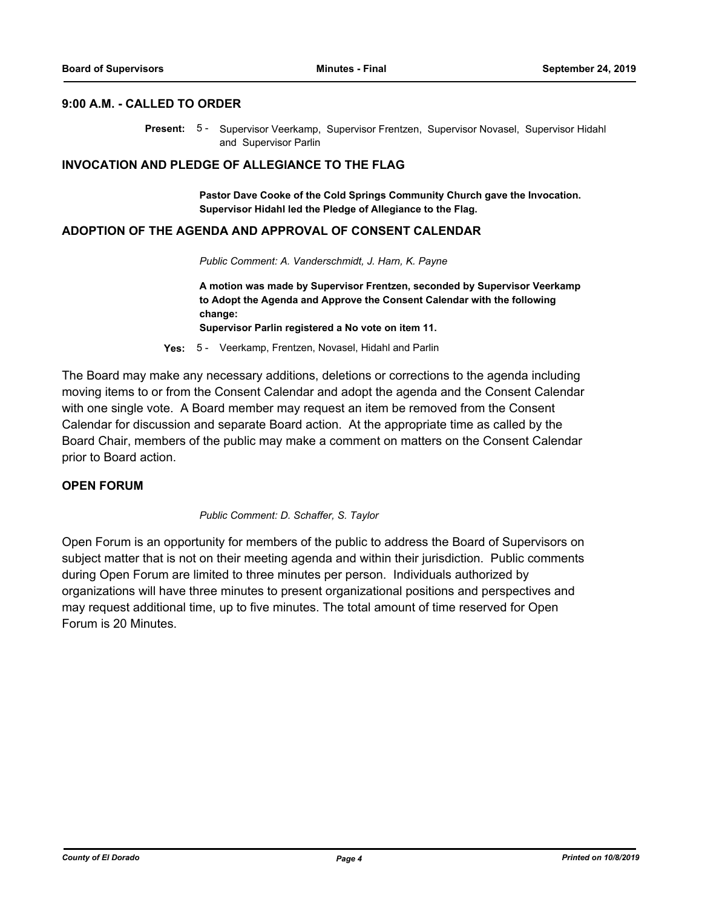### **9:00 A.M. - CALLED TO ORDER**

Present: 5 - Supervisor Veerkamp, Supervisor Frentzen, Supervisor Novasel, Supervisor Hidahl and Supervisor Parlin

### **INVOCATION AND PLEDGE OF ALLEGIANCE TO THE FLAG**

**Pastor Dave Cooke of the Cold Springs Community Church gave the Invocation. Supervisor Hidahl led the Pledge of Allegiance to the Flag.**

#### **ADOPTION OF THE AGENDA AND APPROVAL OF CONSENT CALENDAR**

*Public Comment: A. Vanderschmidt, J. Harn, K. Payne*

**A motion was made by Supervisor Frentzen, seconded by Supervisor Veerkamp to Adopt the Agenda and Approve the Consent Calendar with the following change:**

**Supervisor Parlin registered a No vote on item 11.**

**Yes:** 5 - Veerkamp, Frentzen, Novasel, Hidahl and Parlin

The Board may make any necessary additions, deletions or corrections to the agenda including moving items to or from the Consent Calendar and adopt the agenda and the Consent Calendar with one single vote. A Board member may request an item be removed from the Consent Calendar for discussion and separate Board action. At the appropriate time as called by the Board Chair, members of the public may make a comment on matters on the Consent Calendar prior to Board action.

### **OPEN FORUM**

*Public Comment: D. Schaffer, S. Taylor*

Open Forum is an opportunity for members of the public to address the Board of Supervisors on subject matter that is not on their meeting agenda and within their jurisdiction. Public comments during Open Forum are limited to three minutes per person. Individuals authorized by organizations will have three minutes to present organizational positions and perspectives and may request additional time, up to five minutes. The total amount of time reserved for Open Forum is 20 Minutes.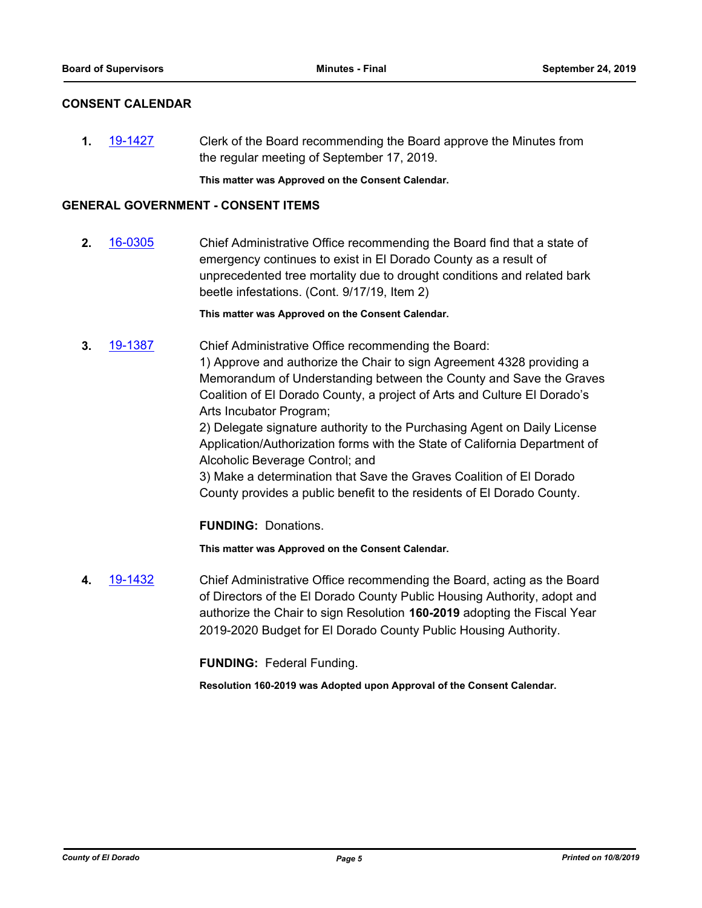### **CONSENT CALENDAR**

**1.** [19-1427](http://eldorado.legistar.com/gateway.aspx?m=l&id=/matter.aspx?key=26748) Clerk of the Board recommending the Board approve the Minutes from the regular meeting of September 17, 2019.

**This matter was Approved on the Consent Calendar.**

### **GENERAL GOVERNMENT - CONSENT ITEMS**

**2.** [16-0305](http://eldorado.legistar.com/gateway.aspx?m=l&id=/matter.aspx?key=20961) Chief Administrative Office recommending the Board find that a state of emergency continues to exist in El Dorado County as a result of unprecedented tree mortality due to drought conditions and related bark beetle infestations. (Cont. 9/17/19, Item 2)

**This matter was Approved on the Consent Calendar.**

**3.** [19-1387](http://eldorado.legistar.com/gateway.aspx?m=l&id=/matter.aspx?key=26708) Chief Administrative Office recommending the Board:

1) Approve and authorize the Chair to sign Agreement 4328 providing a Memorandum of Understanding between the County and Save the Graves Coalition of El Dorado County, a project of Arts and Culture El Dorado's Arts Incubator Program;

2) Delegate signature authority to the Purchasing Agent on Daily License Application/Authorization forms with the State of California Department of Alcoholic Beverage Control; and

3) Make a determination that Save the Graves Coalition of El Dorado County provides a public benefit to the residents of El Dorado County.

**FUNDING:** Donations.

**This matter was Approved on the Consent Calendar.**

**4.** [19-1432](http://eldorado.legistar.com/gateway.aspx?m=l&id=/matter.aspx?key=26753) Chief Administrative Office recommending the Board, acting as the Board of Directors of the El Dorado County Public Housing Authority, adopt and authorize the Chair to sign Resolution **160-2019** adopting the Fiscal Year 2019-2020 Budget for El Dorado County Public Housing Authority.

**FUNDING:** Federal Funding.

**Resolution 160-2019 was Adopted upon Approval of the Consent Calendar.**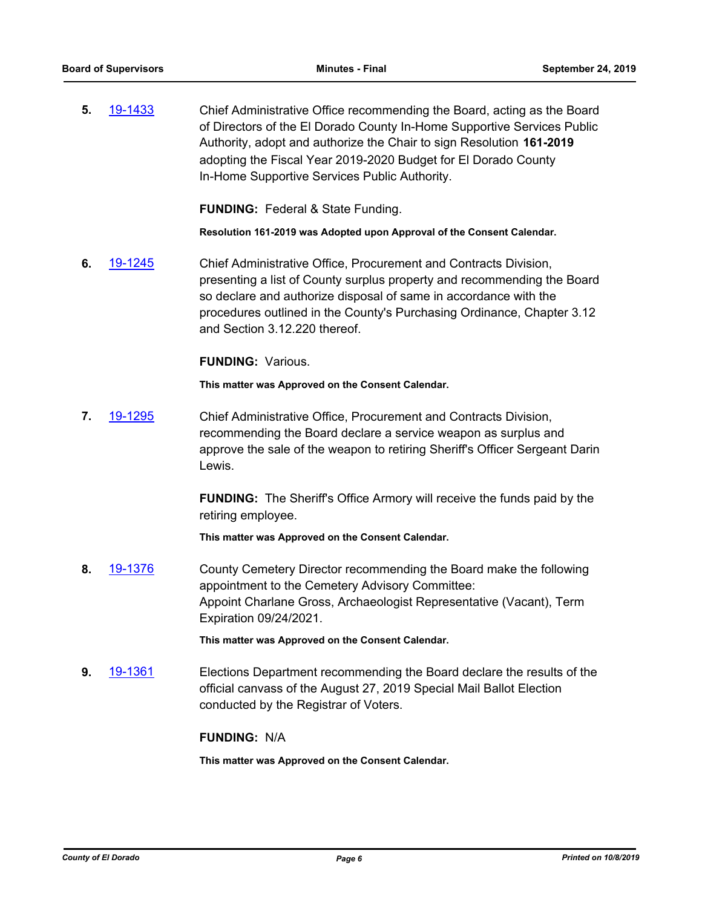**5.** [19-1433](http://eldorado.legistar.com/gateway.aspx?m=l&id=/matter.aspx?key=26754) Chief Administrative Office recommending the Board, acting as the Board of Directors of the El Dorado County In-Home Supportive Services Public Authority, adopt and authorize the Chair to sign Resolution **161-2019**  adopting the Fiscal Year 2019-2020 Budget for El Dorado County In-Home Supportive Services Public Authority.

**FUNDING:** Federal & State Funding.

**Resolution 161-2019 was Adopted upon Approval of the Consent Calendar.**

**6.** [19-1245](http://eldorado.legistar.com/gateway.aspx?m=l&id=/matter.aspx?key=26567) Chief Administrative Office, Procurement and Contracts Division, presenting a list of County surplus property and recommending the Board so declare and authorize disposal of same in accordance with the procedures outlined in the County's Purchasing Ordinance, Chapter 3.12 and Section 3.12.220 thereof.

**FUNDING:** Various.

**This matter was Approved on the Consent Calendar.**

**7.** [19-1295](http://eldorado.legistar.com/gateway.aspx?m=l&id=/matter.aspx?key=26617) Chief Administrative Office, Procurement and Contracts Division, recommending the Board declare a service weapon as surplus and approve the sale of the weapon to retiring Sheriff's Officer Sergeant Darin Lewis.

> **FUNDING:** The Sheriff's Office Armory will receive the funds paid by the retiring employee.

**This matter was Approved on the Consent Calendar.**

**8.** [19-1376](http://eldorado.legistar.com/gateway.aspx?m=l&id=/matter.aspx?key=26697) County Cemetery Director recommending the Board make the following appointment to the Cemetery Advisory Committee: Appoint Charlane Gross, Archaeologist Representative (Vacant), Term Expiration 09/24/2021.

**This matter was Approved on the Consent Calendar.**

**9.** [19-1361](http://eldorado.legistar.com/gateway.aspx?m=l&id=/matter.aspx?key=26682) Elections Department recommending the Board declare the results of the official canvass of the August 27, 2019 Special Mail Ballot Election conducted by the Registrar of Voters.

### **FUNDING:** N/A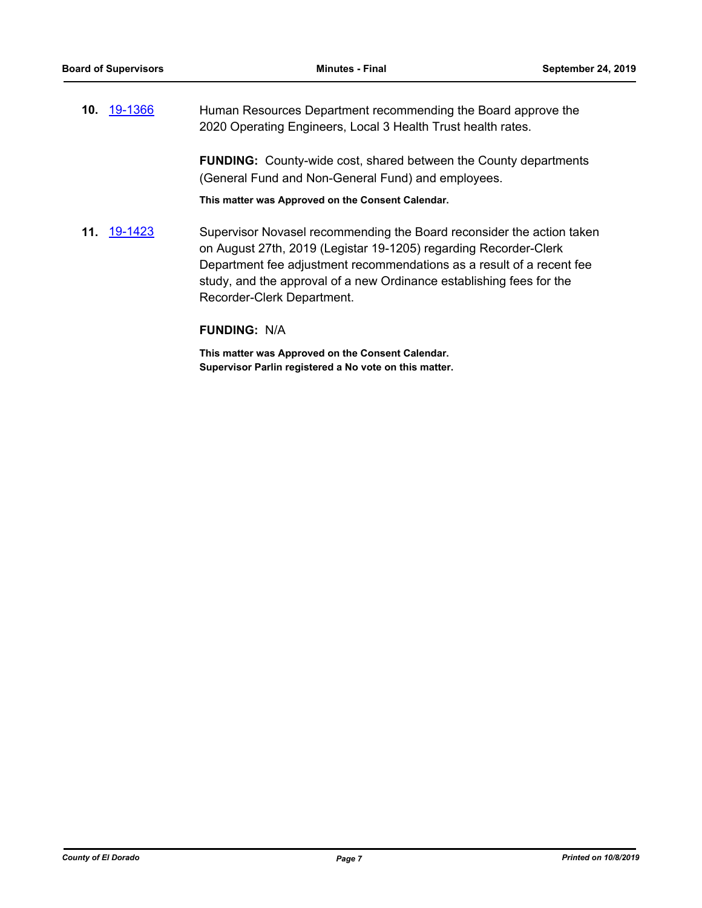**10.** [19-1366](http://eldorado.legistar.com/gateway.aspx?m=l&id=/matter.aspx?key=26687) Human Resources Department recommending the Board approve the 2020 Operating Engineers, Local 3 Health Trust health rates.

> **FUNDING:** County-wide cost, shared between the County departments (General Fund and Non-General Fund) and employees.

**This matter was Approved on the Consent Calendar.**

**11.** [19-1423](http://eldorado.legistar.com/gateway.aspx?m=l&id=/matter.aspx?key=26744) Supervisor Novasel recommending the Board reconsider the action taken on August 27th, 2019 (Legistar 19-1205) regarding Recorder-Clerk Department fee adjustment recommendations as a result of a recent fee study, and the approval of a new Ordinance establishing fees for the Recorder-Clerk Department.

### **FUNDING:** N/A

**This matter was Approved on the Consent Calendar. Supervisor Parlin registered a No vote on this matter.**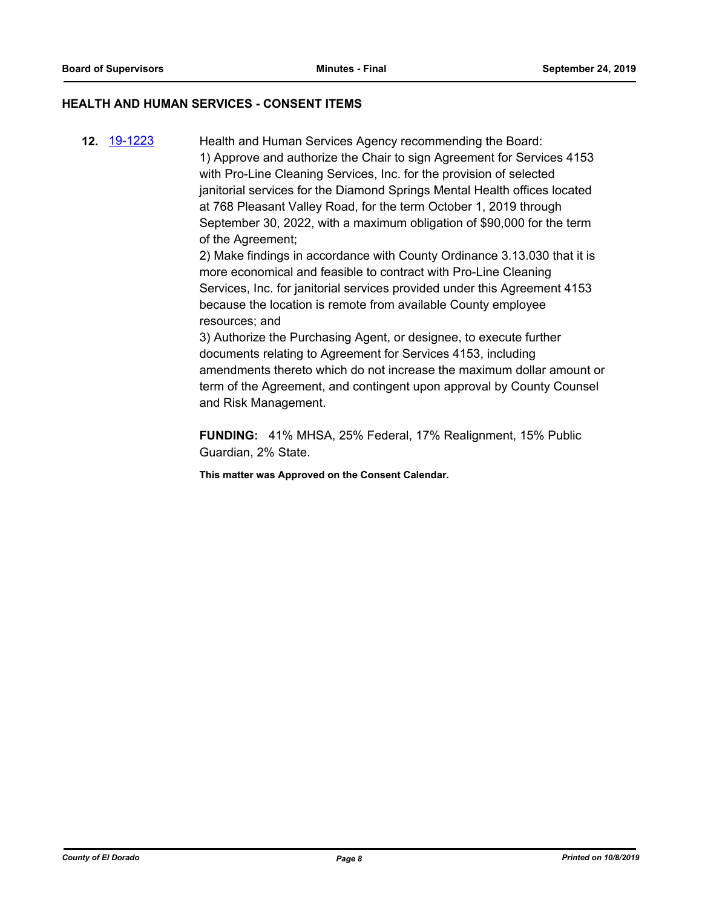### **HEALTH AND HUMAN SERVICES - CONSENT ITEMS**

**12.** [19-1223](http://eldorado.legistar.com/gateway.aspx?m=l&id=/matter.aspx?key=26545) Health and Human Services Agency recommending the Board: 1) Approve and authorize the Chair to sign Agreement for Services 4153 with Pro-Line Cleaning Services, Inc. for the provision of selected janitorial services for the Diamond Springs Mental Health offices located at 768 Pleasant Valley Road, for the term October 1, 2019 through September 30, 2022, with a maximum obligation of \$90,000 for the term of the Agreement;

2) Make findings in accordance with County Ordinance 3.13.030 that it is more economical and feasible to contract with Pro-Line Cleaning Services, Inc. for janitorial services provided under this Agreement 4153 because the location is remote from available County employee resources; and

3) Authorize the Purchasing Agent, or designee, to execute further documents relating to Agreement for Services 4153, including amendments thereto which do not increase the maximum dollar amount or term of the Agreement, and contingent upon approval by County Counsel and Risk Management.

**FUNDING:** 41% MHSA, 25% Federal, 17% Realignment, 15% Public Guardian, 2% State.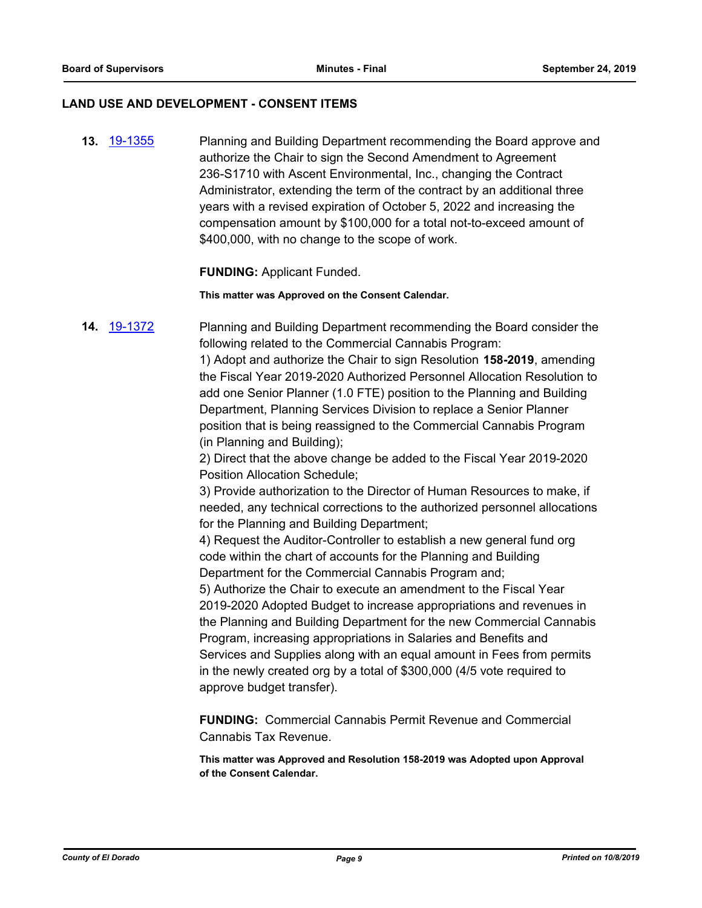### **LAND USE AND DEVELOPMENT - CONSENT ITEMS**

**13.** [19-1355](http://eldorado.legistar.com/gateway.aspx?m=l&id=/matter.aspx?key=26676) Planning and Building Department recommending the Board approve and authorize the Chair to sign the Second Amendment to Agreement 236-S1710 with Ascent Environmental, Inc., changing the Contract Administrator, extending the term of the contract by an additional three years with a revised expiration of October 5, 2022 and increasing the compensation amount by \$100,000 for a total not-to-exceed amount of \$400,000, with no change to the scope of work.

### **FUNDING:** Applicant Funded.

**This matter was Approved on the Consent Calendar.**

**14.** [19-1372](http://eldorado.legistar.com/gateway.aspx?m=l&id=/matter.aspx?key=26693) Planning and Building Department recommending the Board consider the following related to the Commercial Cannabis Program:

> 1) Adopt and authorize the Chair to sign Resolution **158-2019**, amending the Fiscal Year 2019-2020 Authorized Personnel Allocation Resolution to add one Senior Planner (1.0 FTE) position to the Planning and Building Department, Planning Services Division to replace a Senior Planner position that is being reassigned to the Commercial Cannabis Program (in Planning and Building);

2) Direct that the above change be added to the Fiscal Year 2019-2020 Position Allocation Schedule;

3) Provide authorization to the Director of Human Resources to make, if needed, any technical corrections to the authorized personnel allocations for the Planning and Building Department;

4) Request the Auditor-Controller to establish a new general fund org code within the chart of accounts for the Planning and Building Department for the Commercial Cannabis Program and;

5) Authorize the Chair to execute an amendment to the Fiscal Year 2019-2020 Adopted Budget to increase appropriations and revenues in the Planning and Building Department for the new Commercial Cannabis Program, increasing appropriations in Salaries and Benefits and Services and Supplies along with an equal amount in Fees from permits in the newly created org by a total of \$300,000 (4/5 vote required to approve budget transfer).

**FUNDING:** Commercial Cannabis Permit Revenue and Commercial Cannabis Tax Revenue.

**This matter was Approved and Resolution 158-2019 was Adopted upon Approval of the Consent Calendar.**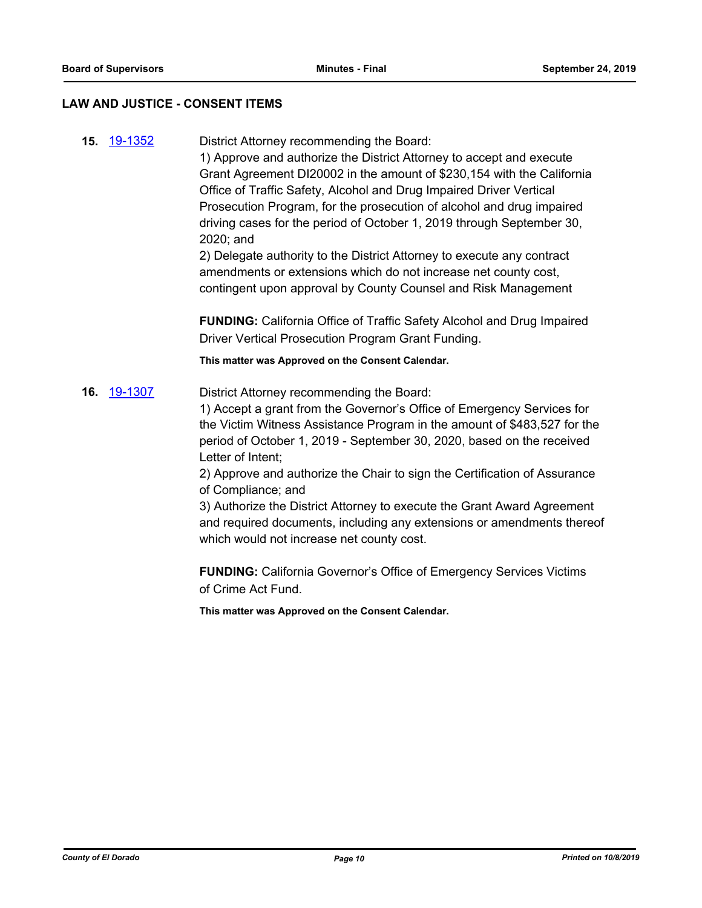### **LAW AND JUSTICE - CONSENT ITEMS**

**15.** [19-1352](http://eldorado.legistar.com/gateway.aspx?m=l&id=/matter.aspx?key=26673) District Attorney recommending the Board:

1) Approve and authorize the District Attorney to accept and execute Grant Agreement DI20002 in the amount of \$230,154 with the California Office of Traffic Safety, Alcohol and Drug Impaired Driver Vertical Prosecution Program, for the prosecution of alcohol and drug impaired driving cases for the period of October 1, 2019 through September 30, 2020; and

2) Delegate authority to the District Attorney to execute any contract amendments or extensions which do not increase net county cost, contingent upon approval by County Counsel and Risk Management

**FUNDING:** California Office of Traffic Safety Alcohol and Drug Impaired Driver Vertical Prosecution Program Grant Funding.

**This matter was Approved on the Consent Calendar.**

**16.** [19-1307](http://eldorado.legistar.com/gateway.aspx?m=l&id=/matter.aspx?key=26629) District Attorney recommending the Board:

1) Accept a grant from the Governor's Office of Emergency Services for the Victim Witness Assistance Program in the amount of \$483,527 for the period of October 1, 2019 - September 30, 2020, based on the received Letter of Intent;

2) Approve and authorize the Chair to sign the Certification of Assurance of Compliance; and

3) Authorize the District Attorney to execute the Grant Award Agreement and required documents, including any extensions or amendments thereof which would not increase net county cost.

**FUNDING:** California Governor's Office of Emergency Services Victims of Crime Act Fund.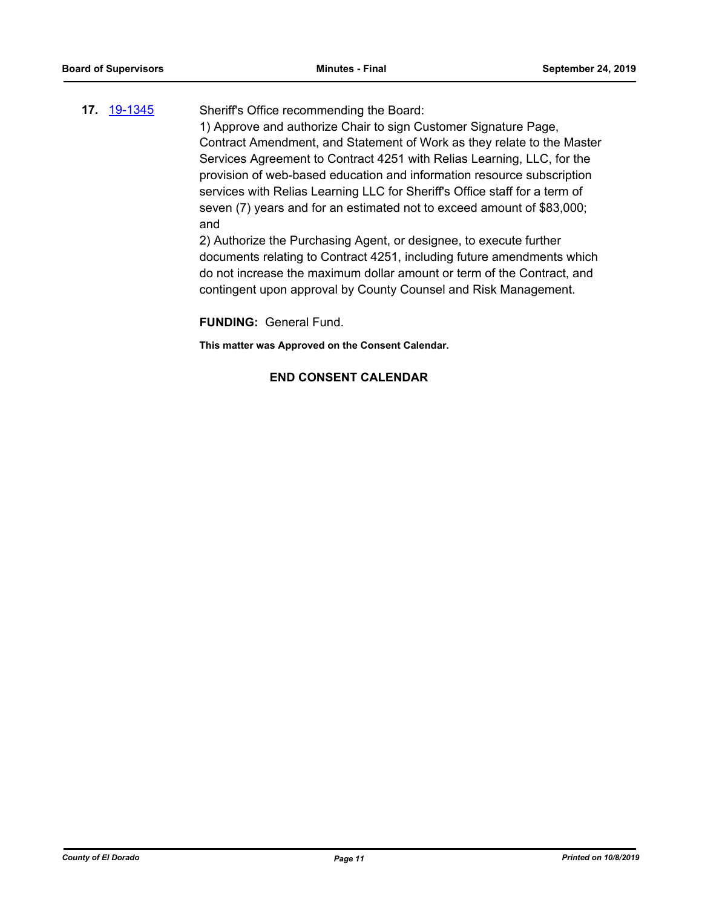# **17.** [19-1345](http://eldorado.legistar.com/gateway.aspx?m=l&id=/matter.aspx?key=26666) Sheriff's Office recommending the Board: 1) Approve and authorize Chair to sign Customer Signature Page, Contract Amendment, and Statement of Work as they relate to the Master Services Agreement to Contract 4251 with Relias Learning, LLC, for the

provision of web-based education and information resource subscription services with Relias Learning LLC for Sheriff's Office staff for a term of seven (7) years and for an estimated not to exceed amount of \$83,000; and

2) Authorize the Purchasing Agent, or designee, to execute further documents relating to Contract 4251, including future amendments which do not increase the maximum dollar amount or term of the Contract, and contingent upon approval by County Counsel and Risk Management.

**FUNDING:** General Fund.

**This matter was Approved on the Consent Calendar.**

# **END CONSENT CALENDAR**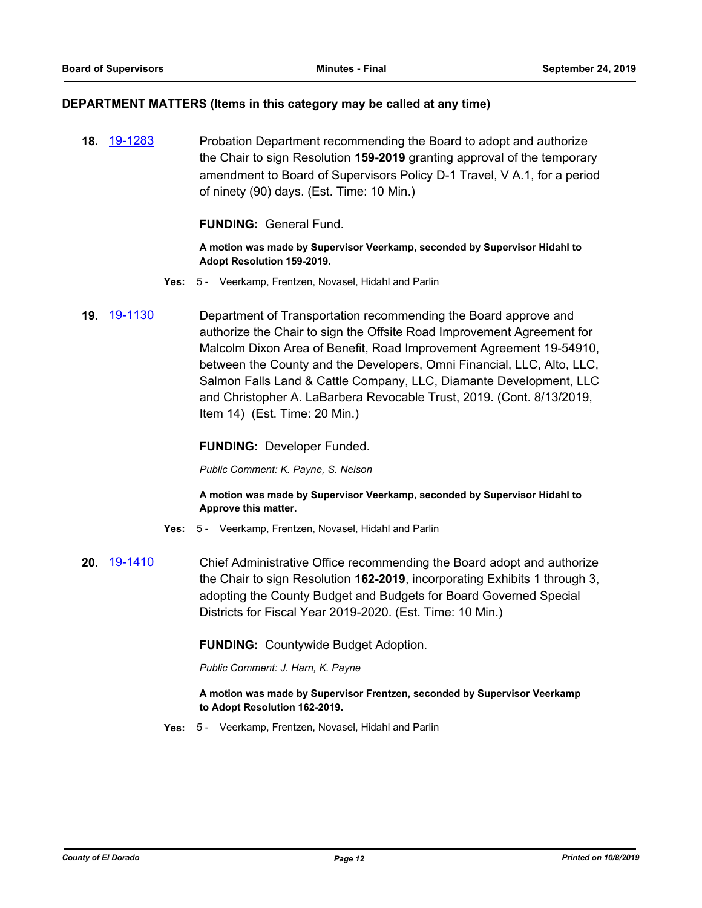### **DEPARTMENT MATTERS (Items in this category may be called at any time)**

**18.** [19-1283](http://eldorado.legistar.com/gateway.aspx?m=l&id=/matter.aspx?key=26605) Probation Department recommending the Board to adopt and authorize the Chair to sign Resolution **159-2019** granting approval of the temporary amendment to Board of Supervisors Policy D-1 Travel, V A.1, for a period of ninety (90) days. (Est. Time: 10 Min.)

**FUNDING:** General Fund.

**A motion was made by Supervisor Veerkamp, seconded by Supervisor Hidahl to Adopt Resolution 159-2019.**

- **Yes:** 5 Veerkamp, Frentzen, Novasel, Hidahl and Parlin
- **19.** [19-1130](http://eldorado.legistar.com/gateway.aspx?m=l&id=/matter.aspx?key=26452) Department of Transportation recommending the Board approve and authorize the Chair to sign the Offsite Road Improvement Agreement for Malcolm Dixon Area of Benefit, Road Improvement Agreement 19-54910, between the County and the Developers, Omni Financial, LLC, Alto, LLC, Salmon Falls Land & Cattle Company, LLC, Diamante Development, LLC and Christopher A. LaBarbera Revocable Trust, 2019. (Cont. 8/13/2019, Item 14) (Est. Time: 20 Min.)

**FUNDING:** Developer Funded.

*Public Comment: K. Payne, S. Neison*

**A motion was made by Supervisor Veerkamp, seconded by Supervisor Hidahl to Approve this matter.**

- **Yes:** 5 Veerkamp, Frentzen, Novasel, Hidahl and Parlin
- **20.** [19-1410](http://eldorado.legistar.com/gateway.aspx?m=l&id=/matter.aspx?key=26731) Chief Administrative Office recommending the Board adopt and authorize the Chair to sign Resolution **162-2019**, incorporating Exhibits 1 through 3, adopting the County Budget and Budgets for Board Governed Special Districts for Fiscal Year 2019-2020. (Est. Time: 10 Min.)

**FUNDING:** Countywide Budget Adoption.

*Public Comment: J. Harn, K. Payne*

### **A motion was made by Supervisor Frentzen, seconded by Supervisor Veerkamp to Adopt Resolution 162-2019.**

**Yes:** 5 - Veerkamp, Frentzen, Novasel, Hidahl and Parlin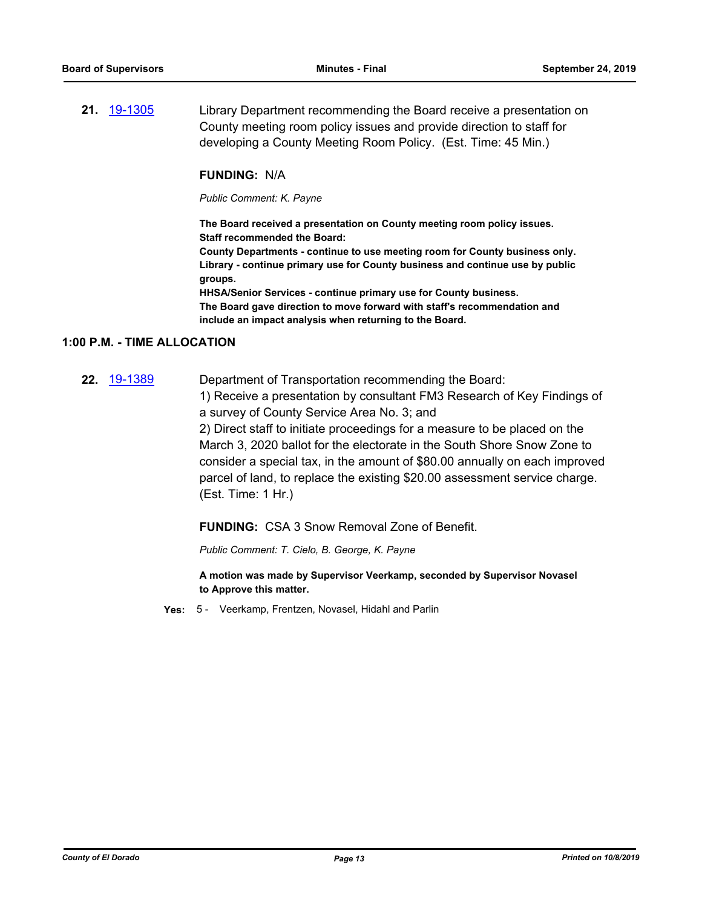**21.** [19-1305](http://eldorado.legistar.com/gateway.aspx?m=l&id=/matter.aspx?key=26627) Library Department recommending the Board receive a presentation on County meeting room policy issues and provide direction to staff for developing a County Meeting Room Policy. (Est. Time: 45 Min.)

### **FUNDING:** N/A

*Public Comment: K. Payne*

**The Board received a presentation on County meeting room policy issues. Staff recommended the Board:**

**County Departments - continue to use meeting room for County business only. Library - continue primary use for County business and continue use by public groups.**

**HHSA/Senior Services - continue primary use for County business. The Board gave direction to move forward with staff's recommendation and include an impact analysis when returning to the Board.**

#### **1:00 P.M. - TIME ALLOCATION**

**22.** [19-1389](http://eldorado.legistar.com/gateway.aspx?m=l&id=/matter.aspx?key=26710) Department of Transportation recommending the Board: 1) Receive a presentation by consultant FM3 Research of Key Findings of

> a survey of County Service Area No. 3; and 2) Direct staff to initiate proceedings for a measure to be placed on the March 3, 2020 ballot for the electorate in the South Shore Snow Zone to consider a special tax, in the amount of \$80.00 annually on each improved

> parcel of land, to replace the existing \$20.00 assessment service charge. (Est. Time: 1 Hr.)

**FUNDING:** CSA 3 Snow Removal Zone of Benefit.

*Public Comment: T. Cielo, B. George, K. Payne*

**A motion was made by Supervisor Veerkamp, seconded by Supervisor Novasel to Approve this matter.**

**Yes:** 5 - Veerkamp, Frentzen, Novasel, Hidahl and Parlin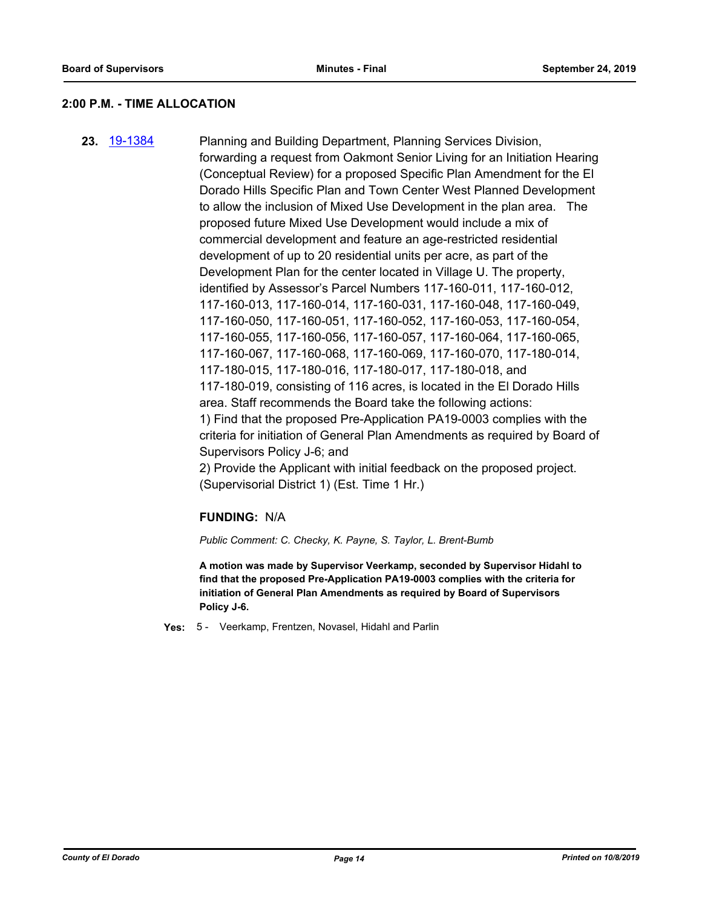### **2:00 P.M. - TIME ALLOCATION**

**23.** [19-1384](http://eldorado.legistar.com/gateway.aspx?m=l&id=/matter.aspx?key=26705) Planning and Building Department, Planning Services Division, forwarding a request from Oakmont Senior Living for an Initiation Hearing (Conceptual Review) for a proposed Specific Plan Amendment for the El Dorado Hills Specific Plan and Town Center West Planned Development to allow the inclusion of Mixed Use Development in the plan area. The proposed future Mixed Use Development would include a mix of commercial development and feature an age-restricted residential development of up to 20 residential units per acre, as part of the Development Plan for the center located in Village U. The property, identified by Assessor's Parcel Numbers 117-160-011, 117-160-012, 117-160-013, 117-160-014, 117-160-031, 117-160-048, 117-160-049, 117-160-050, 117-160-051, 117-160-052, 117-160-053, 117-160-054, 117-160-055, 117-160-056, 117-160-057, 117-160-064, 117-160-065, 117-160-067, 117-160-068, 117-160-069, 117-160-070, 117-180-014, 117-180-015, 117-180-016, 117-180-017, 117-180-018, and 117-180-019, consisting of 116 acres, is located in the El Dorado Hills area. Staff recommends the Board take the following actions: 1) Find that the proposed Pre-Application PA19-0003 complies with the criteria for initiation of General Plan Amendments as required by Board of Supervisors Policy J-6; and 2) Provide the Applicant with initial feedback on the proposed project.

(Supervisorial District 1) (Est. Time 1 Hr.)

### **FUNDING:** N/A

*Public Comment: C. Checky, K. Payne, S. Taylor, L. Brent-Bumb*

**A motion was made by Supervisor Veerkamp, seconded by Supervisor Hidahl to find that the proposed Pre-Application PA19-0003 complies with the criteria for initiation of General Plan Amendments as required by Board of Supervisors Policy J-6.**

**Yes:** 5 - Veerkamp, Frentzen, Novasel, Hidahl and Parlin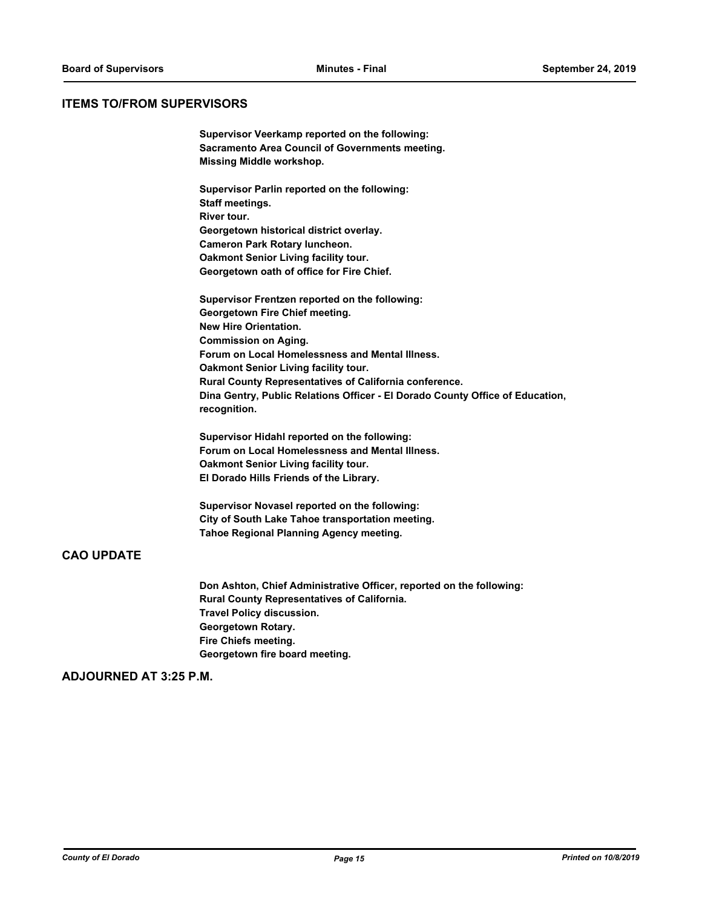### **ITEMS TO/FROM SUPERVISORS**

**Supervisor Veerkamp reported on the following: Sacramento Area Council of Governments meeting. Missing Middle workshop.**

**Supervisor Parlin reported on the following: Staff meetings. River tour. Georgetown historical district overlay. Cameron Park Rotary luncheon. Oakmont Senior Living facility tour. Georgetown oath of office for Fire Chief.**

**Supervisor Frentzen reported on the following: Georgetown Fire Chief meeting. New Hire Orientation. Commission on Aging. Forum on Local Homelessness and Mental Illness. Oakmont Senior Living facility tour. Rural County Representatives of California conference. Dina Gentry, Public Relations Officer - El Dorado County Office of Education, recognition.**

**Supervisor Hidahl reported on the following: Forum on Local Homelessness and Mental Illness. Oakmont Senior Living facility tour. El Dorado Hills Friends of the Library.**

**Supervisor Novasel reported on the following: City of South Lake Tahoe transportation meeting. Tahoe Regional Planning Agency meeting.**

# **CAO UPDATE**

**Don Ashton, Chief Administrative Officer, reported on the following: Rural County Representatives of California. Travel Policy discussion. Georgetown Rotary. Fire Chiefs meeting. Georgetown fire board meeting.**

### **ADJOURNED AT 3:25 P.M.**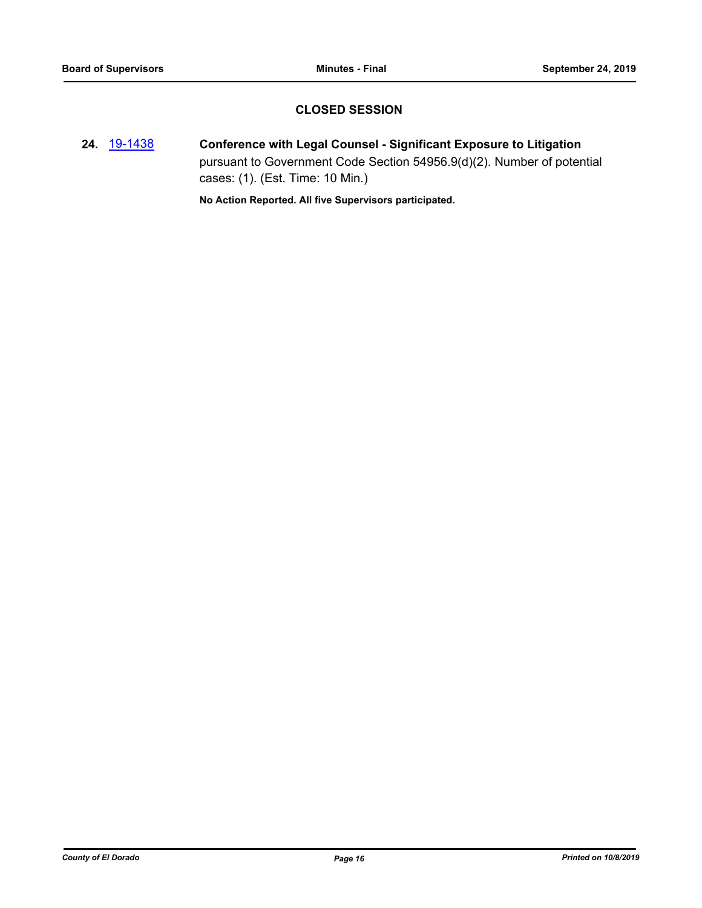# **CLOSED SESSION**

**24.** [19-1438](http://eldorado.legistar.com/gateway.aspx?m=l&id=/matter.aspx?key=26759) **Conference with Legal Counsel - Significant Exposure to Litigation** pursuant to Government Code Section 54956.9(d)(2). Number of potential cases: (1). (Est. Time: 10 Min.)

**No Action Reported. All five Supervisors participated.**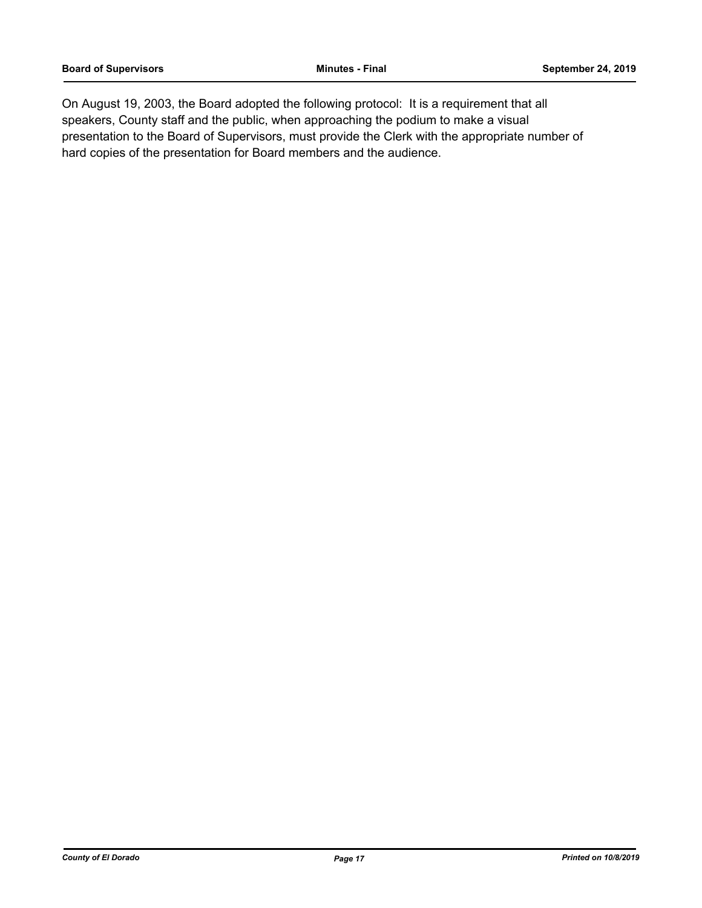On August 19, 2003, the Board adopted the following protocol: It is a requirement that all speakers, County staff and the public, when approaching the podium to make a visual presentation to the Board of Supervisors, must provide the Clerk with the appropriate number of hard copies of the presentation for Board members and the audience.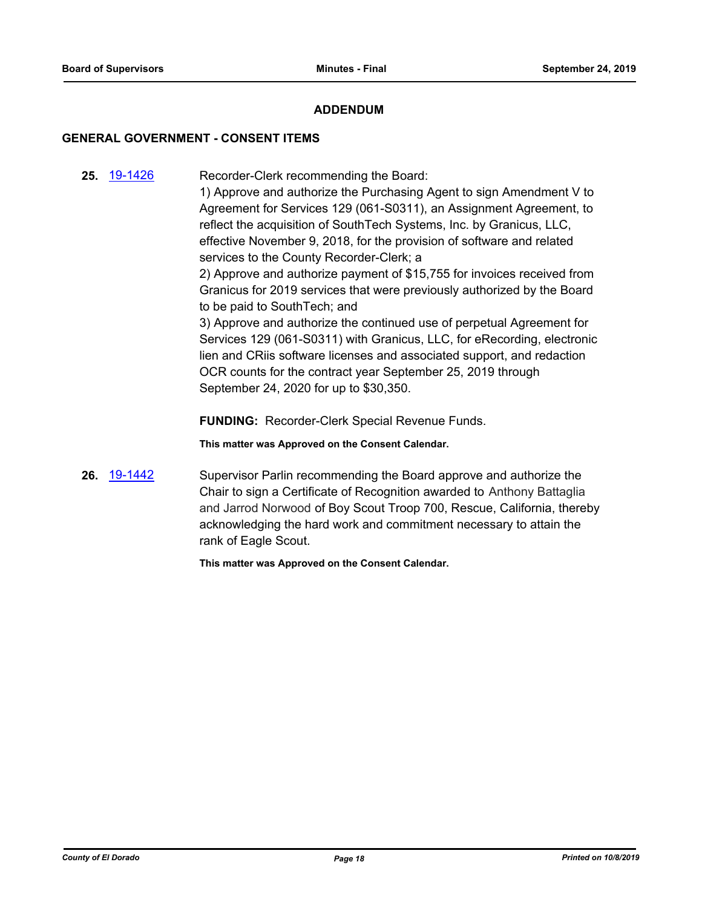### **ADDENDUM**

### **GENERAL GOVERNMENT - CONSENT ITEMS**

**25.** [19-1426](http://eldorado.legistar.com/gateway.aspx?m=l&id=/matter.aspx?key=26747) Recorder-Clerk recommending the Board:

1) Approve and authorize the Purchasing Agent to sign Amendment V to Agreement for Services 129 (061-S0311), an Assignment Agreement, to reflect the acquisition of SouthTech Systems, Inc. by Granicus, LLC, effective November 9, 2018, for the provision of software and related services to the County Recorder-Clerk; a

2) Approve and authorize payment of \$15,755 for invoices received from Granicus for 2019 services that were previously authorized by the Board to be paid to SouthTech; and

3) Approve and authorize the continued use of perpetual Agreement for Services 129 (061-S0311) with Granicus, LLC, for eRecording, electronic lien and CRiis software licenses and associated support, and redaction OCR counts for the contract year September 25, 2019 through September 24, 2020 for up to \$30,350.

**FUNDING:** Recorder-Clerk Special Revenue Funds.

**This matter was Approved on the Consent Calendar.**

**26.** [19-1442](http://eldorado.legistar.com/gateway.aspx?m=l&id=/matter.aspx?key=26763) Supervisor Parlin recommending the Board approve and authorize the Chair to sign a Certificate of Recognition awarded to Anthony Battaglia and Jarrod Norwood of Boy Scout Troop 700, Rescue, California, thereby acknowledging the hard work and commitment necessary to attain the rank of Eagle Scout.